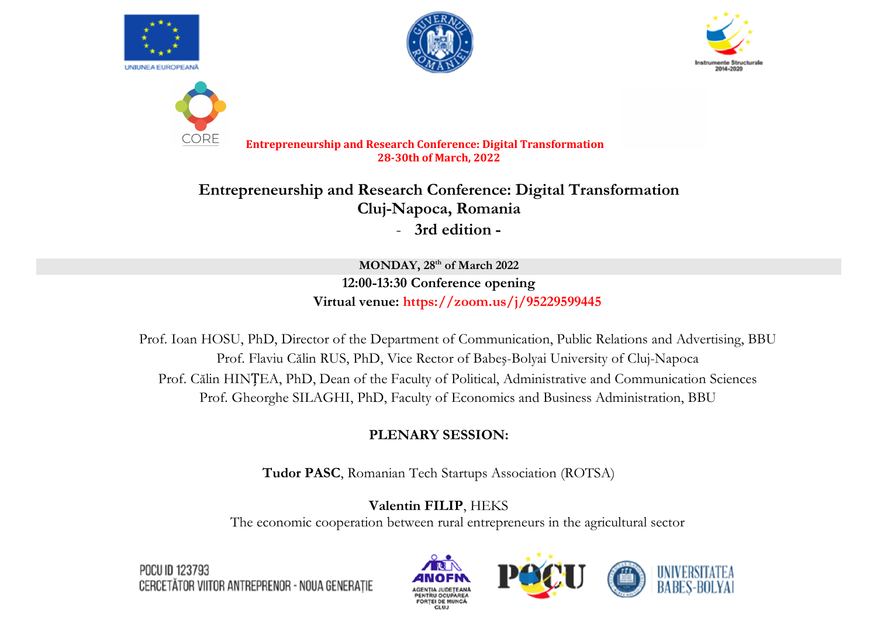

COR









**Entrepreneurship and Research Conference: Digital Transformation 28-30th of March, 2022**

**Entrepreneurship and Research Conference: Digital Transformation Cluj-Napoca, Romania** - **3rd edition -**

> **MONDAY, 28th of March 2022 12:00-13:30 Conference opening Virtual venue: https://zoom.us/j/95229599445**

Prof. Ioan HOSU, PhD, Director of the Department of Communication, Public Relations and Advertising, BBU Prof. Flaviu Călin RUS, PhD, Vice Rector of Babeş-Bolyai University of Cluj-Napoca Prof. Călin HINȚEA, PhD, Dean of the Faculty of Political, Administrative and Communication Sciences Prof. Gheorghe SILAGHI, PhD, Faculty of Economics and Business Administration, BBU

# **PLENARY SESSION:**

**Tudor PASC**, Romanian Tech Startups Association (ROTSA)

**Valentin FILIP**, HEKS

The economic cooperation between rural entrepreneurs in the agricultural sector





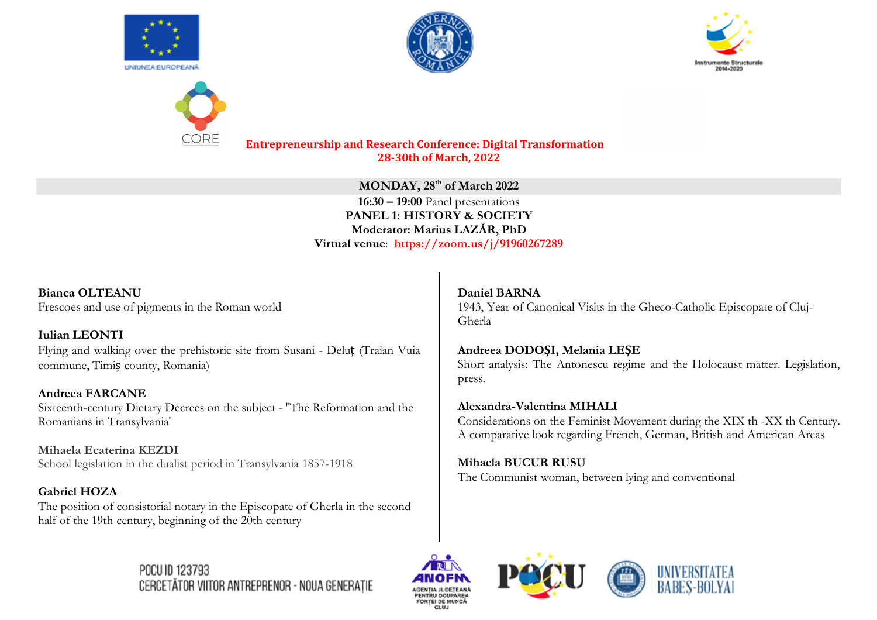







> **MONDAY, 28th of March 2022 16:30 – 19:00** Panel presentations **PANEL 1: HISTORY & SOCIETY Moderator: Marius LAZĂR, PhD Virtual venue**: **https://zoom.us/j/91960267289**

**Bianca OLTEANU** Frescoes and use of pigments in the Roman world

**Iulian LEONTI** Flying and walking over the prehistoric site from Susani - Deluț (Traian Vuia commune, Timiș county, Romania)

**Andreea FARCANE** Sixteenth-century Dietary Decrees on the subject - ''The Reformation and the Romanians in Transylvania'

**Mihaela Ecaterina KEZDI** School legislation in the dualist period in Transylvania 1857-1918

**POCU ID 123793** 

**Gabriel HOZA** The position of consistorial notary in the Episcopate of Gherla in the second half of the 19th century, beginning of the 20th century

CERCETĂTOR VIITOR ANTREPRENOR - NOUA GENERAȚIE

**Daniel BARNA** 1943, Year of Canonical Visits in the Gheco-Catholic Episcopate of Cluj-Gherla

**Andreea DODOȘI, Melania LEȘE** Short analysis: The Antonescu regime and the Holocaust matter. Legislation, press.

**Alexandra-Valentina MIHALI** Considerations on the Feminist Movement during the XIX th -XX th Century. A comparative look regarding French, German, British and American Areas

**Mihaela BUCUR RUSU**  The Communist woman, between lying and conventional



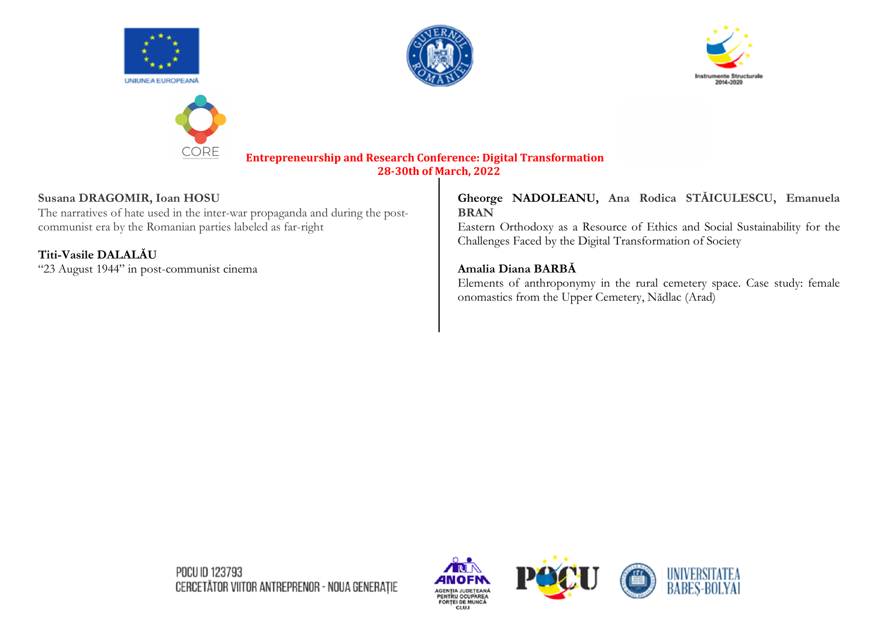









### **Susana DRAGOMIR, Ioan HOSU**

The narratives of hate used in the inter-war propaganda and during the postcommunist era by the Romanian parties labeled as far-right

# **Titi-Vasile DALALĂU**

"23 August 1944" in post-communist cinema

## **Gheorge NADOLEANU, Ana Rodica STĂICULESCU, Emanuela BRAN**

Eastern Orthodoxy as a Resource of Ethics and Social Sustainability for the Challenges Faced by the Digital Transformation of Society

## **Amalia Diana BARBĂ**

Elements of anthroponymy in the rural cemetery space. Case study: female onomastics from the Upper Cemetery, Nădlac (Arad)

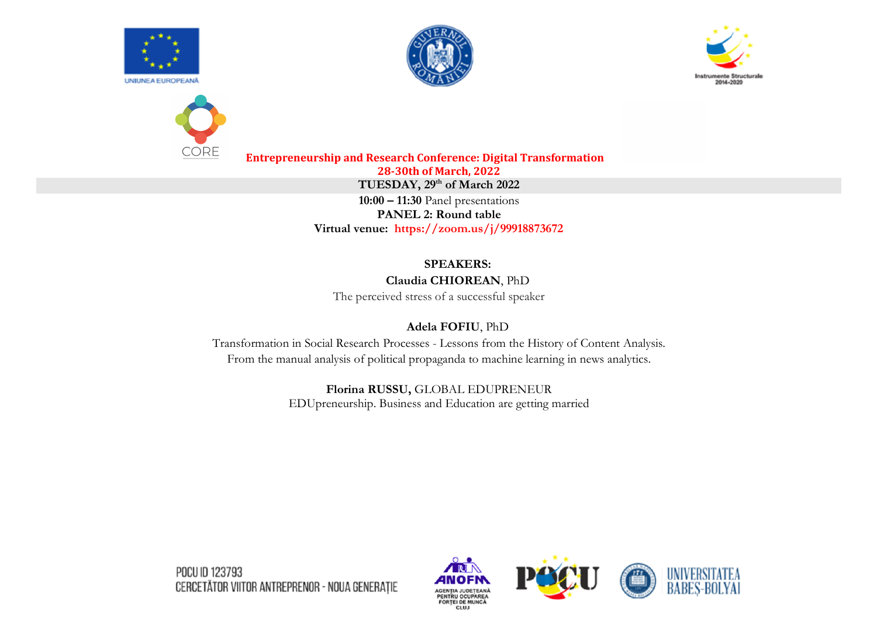









**Entrepreneurship and Research Conference: Digital Transformation 28-30th of March, 2022 TUESDAY, 29th of March 2022 10:00 – 11:30** Panel presentations **PANEL 2: Round table Virtual venue: https://zoom.us/j/99918873672**

# **SPEAKERS:**

#### **Claudia CHIOREAN**, PhD

The perceived stress of a successful speaker

## **Adela FOFIU**, PhD

Transformation in Social Research Processes - Lessons from the History of Content Analysis. From the manual analysis of political propaganda to machine learning in news analytics.

> **Florina RUSSU,** GLOBAL EDUPRENEUR EDUpreneurship. Business and Education are getting married

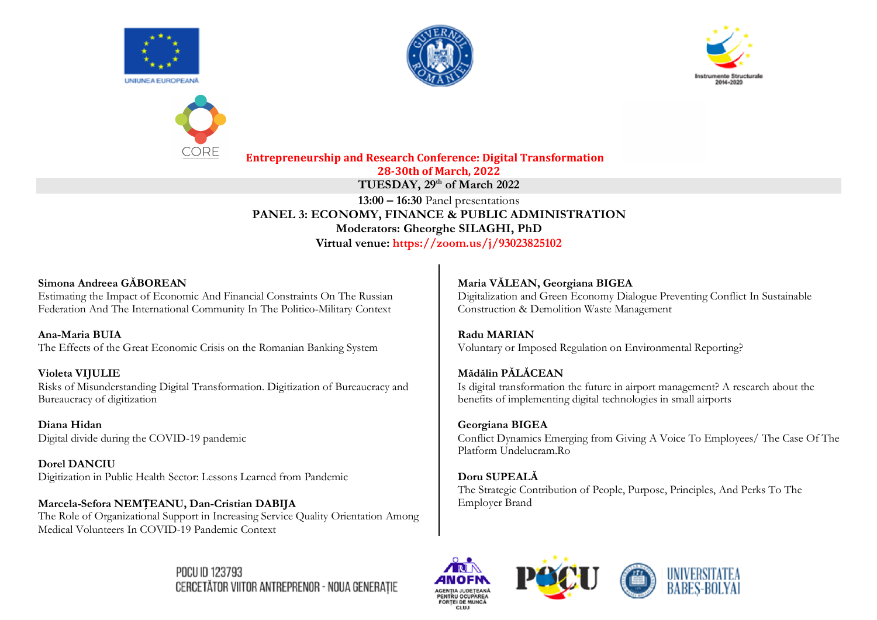









#### Simona Andreea GĂBOREAN

Estimating the Impact of Economic And Financial Constraints On The Russian Federation And The International Community In The Politico-Military Context

Ana-Maria BUIA The Effects of the Great Economic Crisis on the Romanian Banking System

Violeta VIJULIE Risks of Misunderstanding Digital Transformation. Digitization of Bureaucracy and Bureaucracy of digitization

Diana Hidan Digital divide during the COVID-19 pandemic

**Dorel DANCIU** Digitization in Public Health Sector: Lessons Learned from Pandemic

Marcela-Sefora NEMȚEANU, Dan-Cristian DABIJA The Role of Organizational Support in Increasing Service Quality Orientation Among Medical Volunteers In COVID-19 Pandemic Context

Maria VĂLEAN, Georgiana BIGEA Digitalization and Green Economy Dialogue Preventing Conflict In Sustainable Construction & Demolition Waste Management

**Radu MARIAN** Voluntary or Imposed Regulation on Environmental Reporting?

Mădălin PĂLĂCEAN Is digital transformation the future in airport management? A research about the benefits of implementing digital technologies in small airports

Georgiana BIGEA Conflict Dynamics Emerging from Giving A Voice To Employees/ The Case Of The Platform Undelucram.Ro

Doru SUPEALĂ The Strategic Contribution of People, Purpose, Principles, And Perks To The **Employer Brand** 





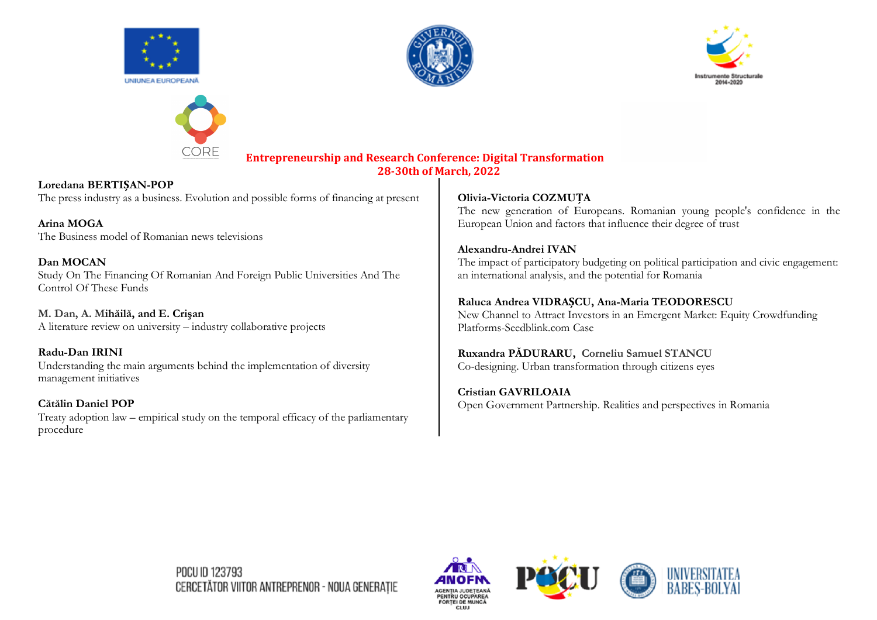







**Loredana BERTIȘAN-POP** The press industry as a business. Evolution and possible forms of financing at present

**Arina MOGA**  The Business model of Romanian news televisions

**Dan MOCAN** Study On The Financing Of Romanian And Foreign Public Universities And The Control Of These Funds

**M. Dan, A. Mihăilă, and E. Crişan** A literature review on university – industry collaborative projects

**Radu-Dan IRINI** Understanding the main arguments behind the implementation of diversity management initiatives

**Cătălin Daniel POP** Treaty adoption law – empirical study on the temporal efficacy of the parliamentary procedure

#### **Olivia-Victoria COZMUȚA**

The new generation of Europeans. Romanian young people's confidence in the European Union and factors that influence their degree of trust

#### **Alexandru-Andrei IVAN** The impact of participatory budgeting on political participation and civic engagement: an international analysis, and the potential for Romania

#### **Raluca Andrea VIDRAȘCU, Ana-Maria TEODORESCU**

New Channel to Attract Investors in an Emergent Market: Equity Crowdfunding Platforms-Seedblink.com Case

## **Ruxandra PĂDURARU, Corneliu Samuel STANCU**

Co-designing. Urban transformation through citizens eyes

## **Cristian GAVRILOAIA**

Open Government Partnership. Realities and perspectives in Romania

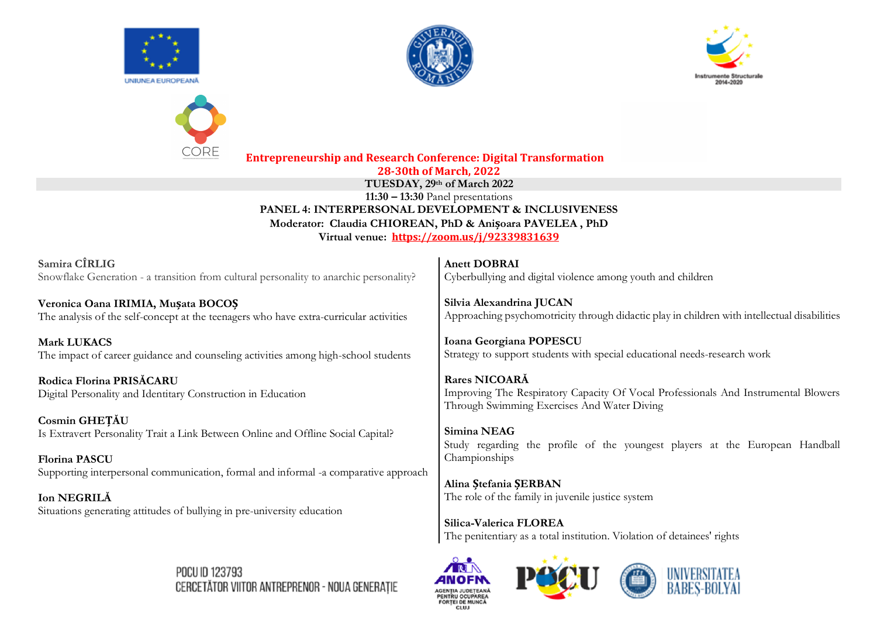

Samira CÎRLIG

**Mark LUKACS** 

Cosmin GHETĂU

**Florina PASCU** 

Ion NEGRILĂ

Rodica Florina PRISĂCARU



Situations generating attitudes of bullying in pre-university education







The role of the family in juvenile justice system

Silica-Valerica FLOREA The penitentiary as a total institution. Violation of detainees' rights





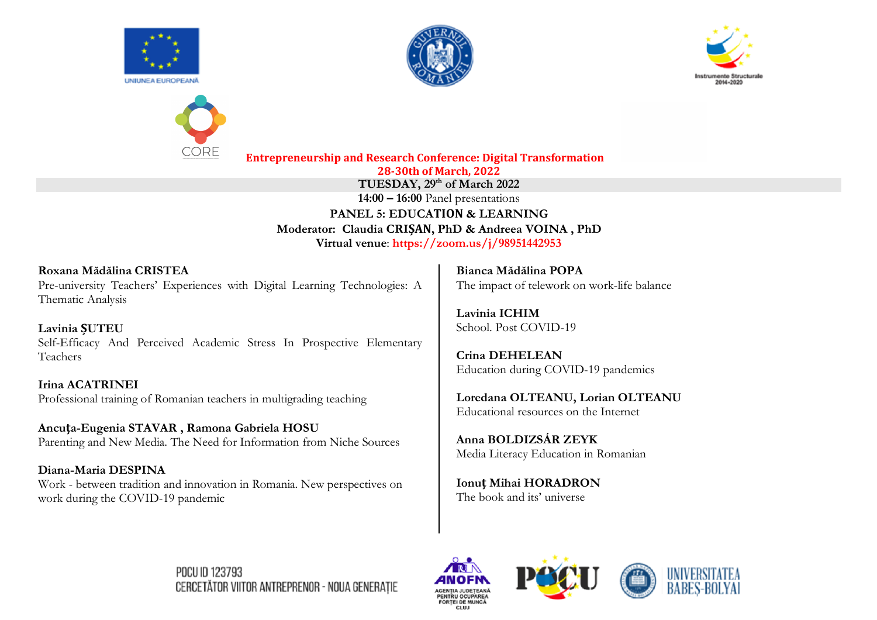







**TUESDAY, 29th of March 2022**

**14:00 – 16:00** Panel presentations

**PANEL 5: EDUCATION & LEARNING Moderator: Claudia CRIȘAN, PhD & Andreea VOINA , PhD Virtual venue**: **https://zoom.us/j/98951442953**

**Roxana Mădălina CRISTEA** Pre-university Teachers' Experiences with Digital Learning Technologies: A Thematic Analysis

**Lavinia ȘUTEU** Self-Efficacy And Perceived Academic Stress In Prospective Elementary Teachers

**Irina ACATRINEI** Professional training of Romanian teachers in multigrading teaching

**Ancuța-Eugenia STAVAR , Ramona Gabriela HOSU** Parenting and New Media. The Need for Information from Niche Sources

**Diana-Maria DESPINA** Work - between tradition and innovation in Romania. New perspectives on work during the COVID-19 pandemic

**Bianca Mădălina POPA** The impact of telework on work-life balance

**Lavinia ICHIM** School. Post COVID-19

**Crina DEHELEAN** Education during COVID-19 pandemics

**Loredana OLTEANU, Lorian OLTEANU** Educational resources on the Internet

**Anna BOLDIZSÁR ZEYK** Media Literacy Education in Romanian

**Ionuț Mihai HORADRON** The book and its' universe









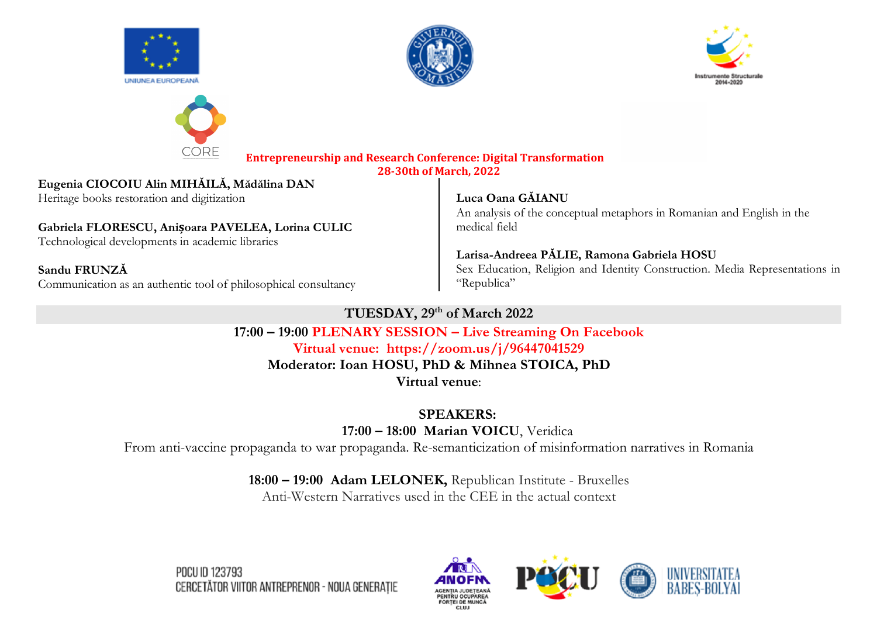







# **Eugenia CIOCOIU Alin MIHĂILĂ, Mădălina DAN**

Heritage books restoration and digitization

# **Gabriela FLORESCU, Anișoara PAVELEA, Lorina CULIC**

Technological developments in academic libraries

**Sandu FRUNZĂ** Communication as an authentic tool of philosophical consultancy

## **Luca Oana GĂIANU**

An analysis of the conceptual metaphors in Romanian and English in the medical field

## **Larisa-Andreea PĂLIE, Ramona Gabriela HOSU**

Sex Education, Religion and Identity Construction. Media Representations in "Republica"

# **TUESDAY, 29th of March 2022**

**17:00 – 19:00 PLENARY SESSION – Live Streaming On Facebook Virtual venue: https://zoom.us/j/96447041529 Moderator: Ioan HOSU, PhD & Mihnea STOICA, PhD Virtual venue**:

**SPEAKERS:**

**17:00 – 18:00 Marian VOICU**, Veridica

From anti-vaccine propaganda to war propaganda. Re-semanticization of misinformation narratives in Romania

# **18:00 – 19:00 Adam LELONEK,** Republican Institute - Bruxelles

Anti-Western Narratives used in the CEE in the actual context

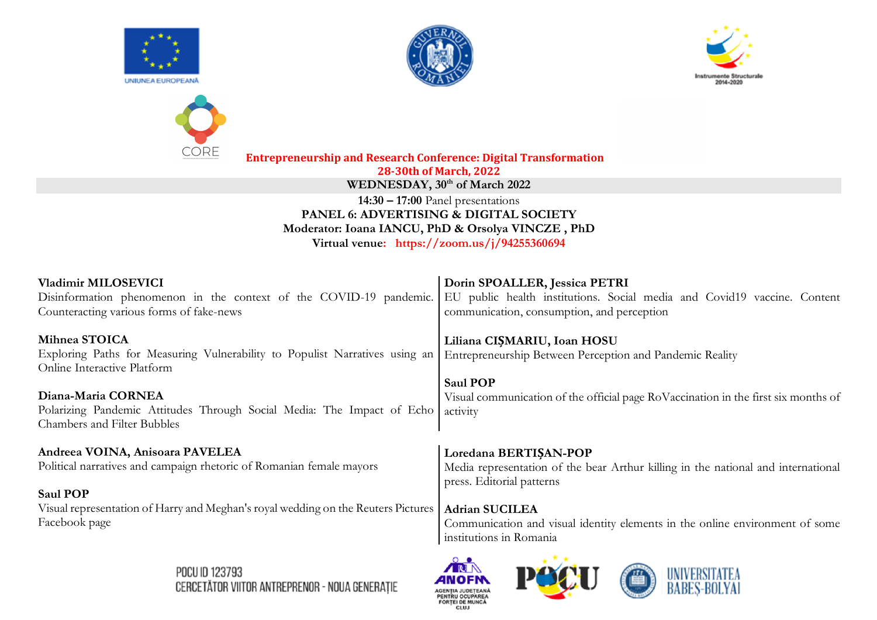







**Entrepreneurship and Research Conference: Digital Transformation 28-30th of March, 2022** WEDNESDAY,  $30<sup>th</sup>$  of March 2022 **14:30 – 17:00** Panel presentations **PANEL 6: ADVERTISING & DIGITAL SOCIETY Moderator: Ioana IANCU, PhD & Orsolya VINCZE , PhD Virtual venue: https://zoom.us/j/94255360694**

| Vladimir MILOSEVICI<br>Disinformation phenomenon in the context of the COVID-19 pandemic.<br>Counteracting various forms of fake-news | Dorin SPOALLER, Jessica PETRI<br>EU public health institutions. Social media and Covid19 vaccine. Content<br>communication, consumption, and perception |
|---------------------------------------------------------------------------------------------------------------------------------------|---------------------------------------------------------------------------------------------------------------------------------------------------------|
| Mihnea STOICA<br>Exploring Paths for Measuring Vulnerability to Populist Narratives using an<br>Online Interactive Platform           | Liliana CIȘMARIU, Ioan HOSU<br>Entrepreneurship Between Perception and Pandemic Reality                                                                 |
| Diana-Maria CORNEA<br>Polarizing Pandemic Attitudes Through Social Media: The Impact of Echo<br><b>Chambers and Filter Bubbles</b>    | <b>Saul POP</b><br>Visual communication of the official page RoVaccination in the first six months of<br>activity                                       |
| Andreea VOINA, Anisoara PAVELEA                                                                                                       | Loredana BERTIŞAN-POP                                                                                                                                   |
| Political narratives and campaign rhetoric of Romanian female mayors<br><b>Saul POP</b>                                               | Media representation of the bear Arthur killing in the national and international<br>press. Editorial patterns                                          |
| Visual representation of Harry and Meghan's royal wedding on the Reuters Pictures                                                     | <b>Adrian SUCILEA</b>                                                                                                                                   |
| Facebook page                                                                                                                         | Communication and visual identity elements in the online environment of some<br>institutions in Romania                                                 |
|                                                                                                                                       | $ -$                                                                                                                                                    |